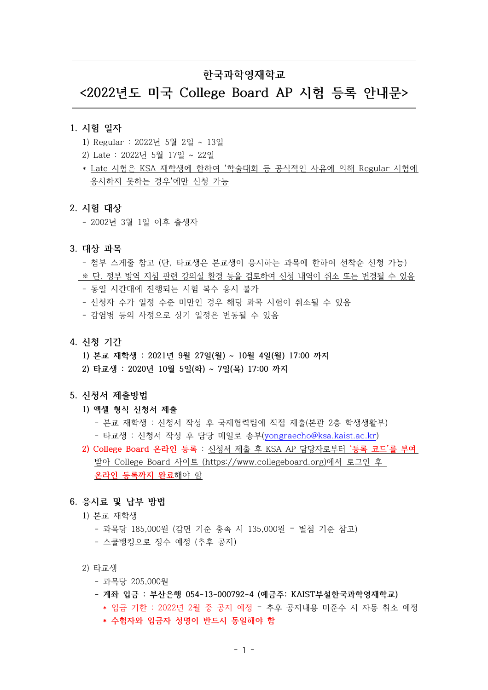## 한국과학연재학교

# <2022년도 미국 College Board AP 시험 등록 안내무>

#### 1. 시험 일자

- 1) Regular : 2022년 5월 2일 ~ 13일
- 2) Late : 2022년 5월 17일 ~ 22일
- \* Late 시험은 KSA 재학생에 한하여 '학술대회 등 공식적인 사유에 의해 Regular 시험에 응시하지 못하는 경우'에만 신청 가능

#### 2. 시험 대상

- 2002년 3월 1일 이후 출생자

#### 3. 대상 과목

- 첨부 스케줄 참고 (다, 타교생은 본교생이 응시하는 과목에 한하여 선착순 신청 가능)
- ※ 단, 정부 방역 지침 관련 강의실 환경 등을 검토하여 신청 내역이 취소 또는 변경될 수 있음
- 동일 시간대에 진행되는 시험 복수 응시 불가
- 신청자 수가 일정 수준 미만인 경우 해당 과목 시험이 취소될 수 있음
- 감염병 등의 사정으로 상기 일정은 변동될 수 있음
- 4. 신청 기간
	- 1) 본교 재학생 : 2021년 9월 27일(월) ~ 10월 4일(월) 17:00 까지
	- 2) 타교생 : 2020년 10월 5일(화) ~ 7일(목) 17:00 까지

#### 5. 신청서 제출방법

- 1) 엑셀 형식 시청서 제출
	- 본교 재학생 : 신청서 작성 후 국제협력팀에 직접 제출(본관 2층 학생생활부) - 타교생 : 신청서 작성 후 담당 메일로 송부(yongraecho@ksa.kaist.ac.kr)
- 2) College Board 온라인 등록 : 신청서 제출 후 KSA AP 담당자로부터 '등록 코드'를 부여 받아 College Board 사이트 (https://www.collegeboard.org)에서 로그인 후 온라인 등록까지 완료해야 함

#### 6. 응시료 및 납부 방법

- 1) 본교 재학생
	- 과목당 185,000원 (감면 기준 충족 시 135,000원 별첨 기준 참고)
	- 스쿨뱅킹으로 징수 예정 (추후 공지)
- 2) 타교생
	- 과목당 205,000원
	- 계좌 입금 : 부산은행 054-13-000792-4 (예금주: KAIST부설한국과학영재학교)
		- \* 입금 기한 : 2022년 2월 중 공지 예정 추후 공지내용 미준수 시 자동 취소 예정
		- \* 수험자와 입금자 성명이 반드시 동일해야 함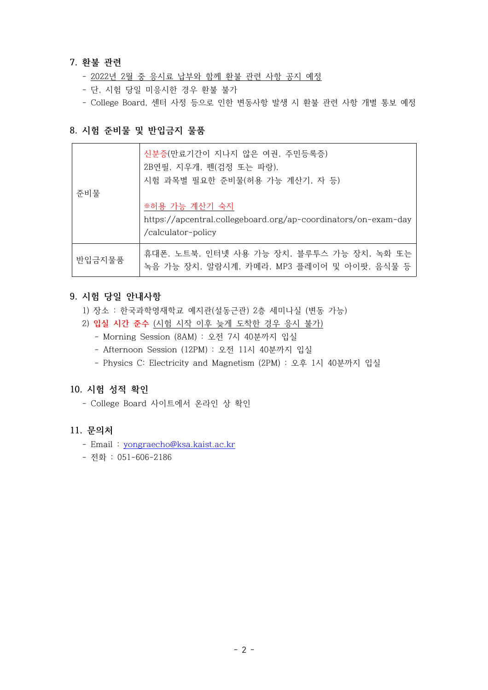### 7. 환불 관련

- 2022년 2월 중 응시료 납부와 함께 환불 관련 사항 공지 예정
- 단, 시험 당일 미응시한 경우 환불 불가
- College Board, 센터 사정 등으로 인한 변동사항 발생 시 환불 관련 사항 개별 통보 예정

### 8. 시험 준비물 및 반입금지 물품

|        | 신분증(만료기간이 지나지 않은 여권, 주민등록증)<br>2B연필, 지우개, 펜(검정 또는 파랑),<br>시험 과목별 필요한 준비물(허용 가능 계산기, 자 등) |  |
|--------|------------------------------------------------------------------------------------------|--|
| 준비물    |                                                                                          |  |
|        | ※허용 가능 계산기 숙지                                                                            |  |
|        | https://apcentral.collegeboard.org/ap-coordinators/on-exam-day                           |  |
|        | /calculator-policy                                                                       |  |
| 반입금지물품 | 휴대폰, 노트북, 인터넷 사용 가능 장치, 블루투스 가능 장치, 녹화 또는<br>녹음 가능 장치, 알람시계, 카메라, MP3 플레이어 및 아이팟, 음식물 등  |  |

### 9. 시험 당일 안내사항

- 1) 장소 : 한국과학영재학교 예지관(설동근관) 2층 세미나실 (변동 가능)
- 2) 입실 시간 준수 (시험 시작 이후 늦게 도착한 경우 응시 불가)
	- Morning Session (8AM) : 오전 7시 40분까지 입실
	- Afternoon Session (12PM) : 오전 11시 40분까지 입실
	- Physics C: Electricity and Magnetism (2PM) : 오후 1시 40분까지 입실

### 10. 시험 성적 확인

- College Board 사이트에서 온라인 상 확인

### 11. 문의처

- Email : yongraecho@ksa.kaist.ac.kr
- 전화 : 051-606-2186